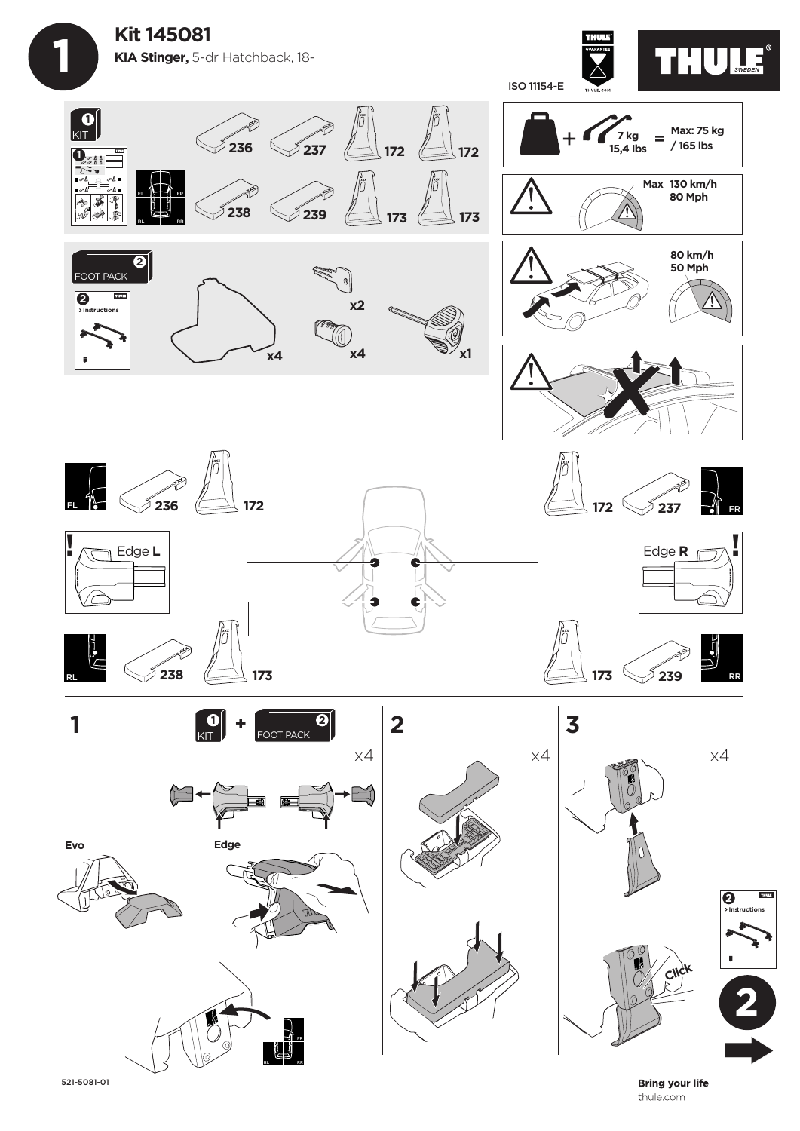





FL FR

RL RR

**Bring your life** thule.com

**2**

**Instructions 2**

**THURS** 

521-5081-01